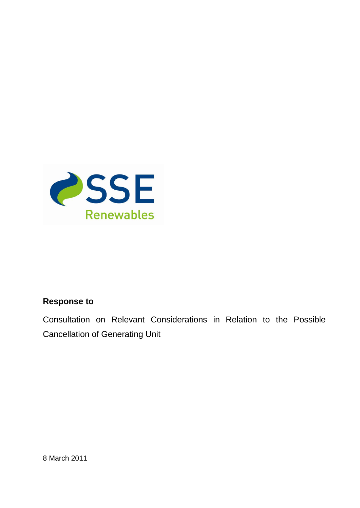

## **Response to**

Consultation on Relevant Considerations in Relation to the Possible Cancellation of Generating Unit